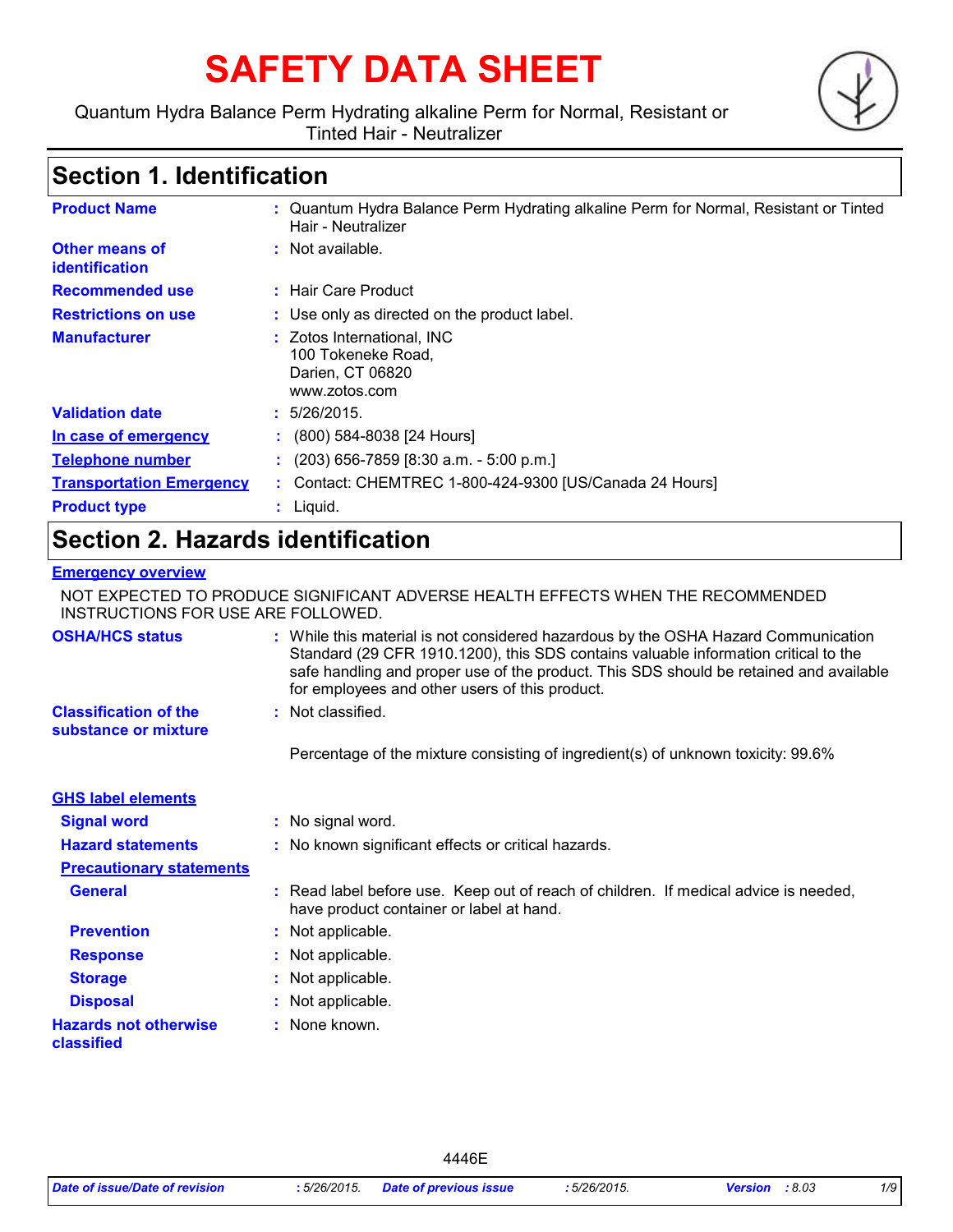# **SAFETY DATA SHEET**

#### Quantum Hydra Balance Perm Hydrating alkaline Perm for Normal, Resistant or Tinted Hair - Neutralizer



### **Section 1. Identification**

| <b>Product Name</b>              | : Quantum Hydra Balance Perm Hydrating alkaline Perm for Normal, Resistant or Tinted<br>Hair - Neutralizer |
|----------------------------------|------------------------------------------------------------------------------------------------------------|
| Other means of<br>identification | $:$ Not available.                                                                                         |
| <b>Recommended use</b>           | : Hair Care Product                                                                                        |
| <b>Restrictions on use</b>       | : Use only as directed on the product label.                                                               |
| <b>Manufacturer</b>              | : Zotos International, INC<br>100 Tokeneke Road,<br>Darien, CT 06820<br>www.zotos.com                      |
| <b>Validation date</b>           | : 5/26/2015.                                                                                               |
| In case of emergency             | $\colon$ (800) 584-8038 [24 Hours]                                                                         |
| <b>Telephone number</b>          | $(203)$ 656-7859 [8:30 a.m. - 5:00 p.m.]                                                                   |
| <b>Transportation Emergency</b>  | : Contact: CHEMTREC 1-800-424-9300 [US/Canada 24 Hours]                                                    |
| <b>Product type</b>              | $:$ Liquid.                                                                                                |

### **Section 2. Hazards identification**

#### **Emergency overview**

NOT EXPECTED TO PRODUCE SIGNIFICANT ADVERSE HEALTH EFFECTS WHEN THE RECOMMENDED INSTRUCTIONS FOR USE ARE FOLLOWED.

| <b>OSHA/HCS status</b>                               | : While this material is not considered hazardous by the OSHA Hazard Communication<br>Standard (29 CFR 1910.1200), this SDS contains valuable information critical to the<br>safe handling and proper use of the product. This SDS should be retained and available<br>for employees and other users of this product. |
|------------------------------------------------------|-----------------------------------------------------------------------------------------------------------------------------------------------------------------------------------------------------------------------------------------------------------------------------------------------------------------------|
| <b>Classification of the</b><br>substance or mixture | : Not classified.                                                                                                                                                                                                                                                                                                     |
|                                                      | Percentage of the mixture consisting of ingredient(s) of unknown toxicity: 99.6%                                                                                                                                                                                                                                      |
| <b>GHS label elements</b>                            |                                                                                                                                                                                                                                                                                                                       |
| <b>Signal word</b>                                   | : No signal word.                                                                                                                                                                                                                                                                                                     |
| <b>Hazard statements</b>                             | : No known significant effects or critical hazards.                                                                                                                                                                                                                                                                   |
| <b>Precautionary statements</b>                      |                                                                                                                                                                                                                                                                                                                       |
| <b>General</b>                                       | : Read label before use. Keep out of reach of children. If medical advice is needed,<br>have product container or label at hand.                                                                                                                                                                                      |
| <b>Prevention</b>                                    | : Not applicable.                                                                                                                                                                                                                                                                                                     |
| <b>Response</b>                                      | : Not applicable.                                                                                                                                                                                                                                                                                                     |
| <b>Storage</b>                                       | : Not applicable.                                                                                                                                                                                                                                                                                                     |
| <b>Disposal</b>                                      | : Not applicable.                                                                                                                                                                                                                                                                                                     |
| <b>Hazards not otherwise</b><br>classified           | : None known.                                                                                                                                                                                                                                                                                                         |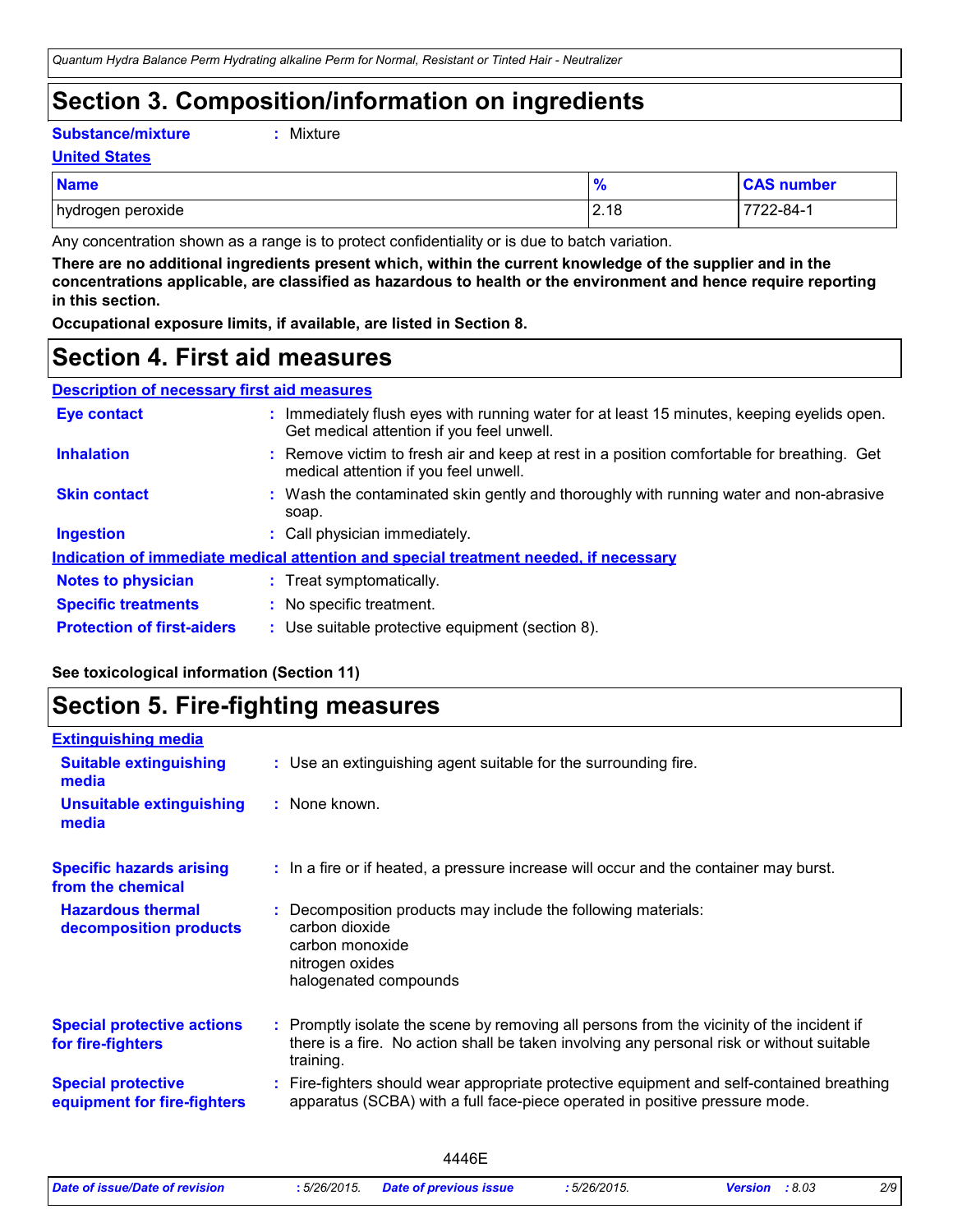### **Section 3. Composition/information on ingredients**

**Substance/mixture :**

```
Mixture
```
**United States**

| <b>Name</b>                 | 70                  | number                     |
|-----------------------------|---------------------|----------------------------|
| hydrogen<br>peroxide<br>. . | $\gamma$ 10<br>L.10 | –∠-84- <sup>1</sup><br>,,, |

Any concentration shown as a range is to protect confidentiality or is due to batch variation.

**There are no additional ingredients present which, within the current knowledge of the supplier and in the concentrations applicable, are classified as hazardous to health or the environment and hence require reporting in this section.**

**Occupational exposure limits, if available, are listed in Section 8.**

### **Section 4. First aid measures**

| <b>Description of necessary first aid measures</b> |  |
|----------------------------------------------------|--|
|                                                    |  |

| <b>Eye contact</b>                | : Immediately flush eyes with running water for at least 15 minutes, keeping eyelids open.<br>Get medical attention if you feel unwell. |
|-----------------------------------|-----------------------------------------------------------------------------------------------------------------------------------------|
| <b>Inhalation</b>                 | : Remove victim to fresh air and keep at rest in a position comfortable for breathing. Get<br>medical attention if you feel unwell.     |
| <b>Skin contact</b>               | : Wash the contaminated skin gently and thoroughly with running water and non-abrasive<br>soap.                                         |
| <b>Ingestion</b>                  | : Call physician immediately.                                                                                                           |
|                                   | Indication of immediate medical attention and special treatment needed, if necessary                                                    |
| <b>Notes to physician</b>         | : Treat symptomatically.                                                                                                                |
| <b>Specific treatments</b>        | : No specific treatment.                                                                                                                |
| <b>Protection of first-aiders</b> | : Use suitable protective equipment (section 8).                                                                                        |

#### **See toxicological information (Section 11)**

### **Section 5. Fire-fighting measures**

| <b>Extinguishing media</b>                               |                                                                                                                                                                                                     |
|----------------------------------------------------------|-----------------------------------------------------------------------------------------------------------------------------------------------------------------------------------------------------|
| <b>Suitable extinguishing</b><br>media                   | : Use an extinguishing agent suitable for the surrounding fire.                                                                                                                                     |
| <b>Unsuitable extinguishing</b><br>media                 | : None known.                                                                                                                                                                                       |
| <b>Specific hazards arising</b><br>from the chemical     | : In a fire or if heated, a pressure increase will occur and the container may burst.                                                                                                               |
| <b>Hazardous thermal</b><br>decomposition products       | Decomposition products may include the following materials:<br>carbon dioxide<br>carbon monoxide<br>nitrogen oxides<br>halogenated compounds                                                        |
| <b>Special protective actions</b><br>for fire-fighters   | : Promptly isolate the scene by removing all persons from the vicinity of the incident if<br>there is a fire. No action shall be taken involving any personal risk or without suitable<br>training. |
| <b>Special protective</b><br>equipment for fire-fighters | Fire-fighters should wear appropriate protective equipment and self-contained breathing<br>apparatus (SCBA) with a full face-piece operated in positive pressure mode.                              |
|                                                          |                                                                                                                                                                                                     |

|                                |             | 446F                          |           |                  |     |
|--------------------------------|-------------|-------------------------------|-----------|------------------|-----|
| Date of issue/Date of revision | :5/26/2015. | <b>Date of previous issue</b> | 5/26/2015 | :8.03<br>Version | 2/9 |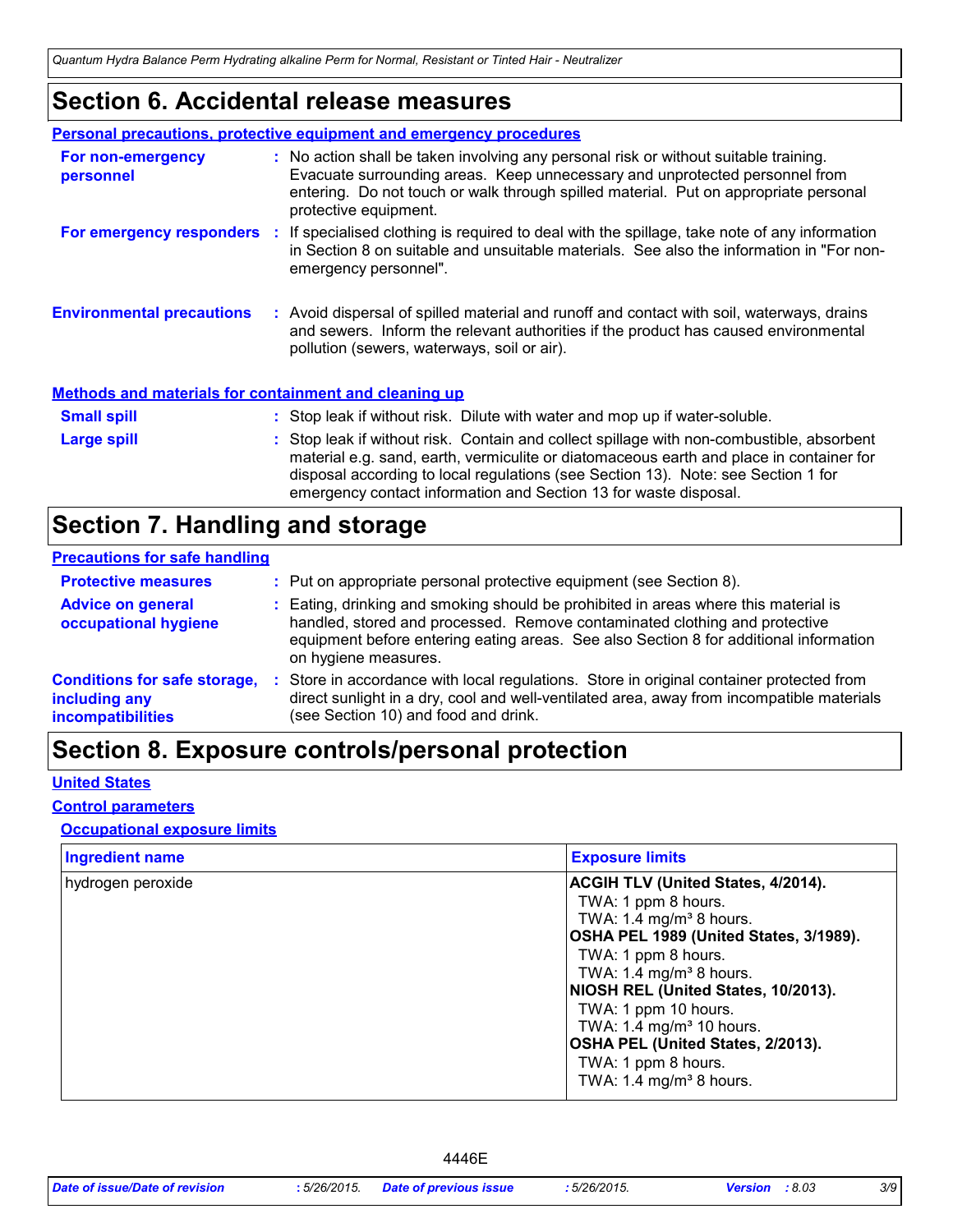### **Section 6. Accidental release measures**

|                                                              | <b>Personal precautions, protective equipment and emergency procedures</b>                                                                                                                                                                                                                                                                    |
|--------------------------------------------------------------|-----------------------------------------------------------------------------------------------------------------------------------------------------------------------------------------------------------------------------------------------------------------------------------------------------------------------------------------------|
| For non-emergency<br>personnel                               | : No action shall be taken involving any personal risk or without suitable training.<br>Evacuate surrounding areas. Keep unnecessary and unprotected personnel from<br>entering. Do not touch or walk through spilled material. Put on appropriate personal<br>protective equipment.                                                          |
|                                                              | For emergency responders : If specialised clothing is required to deal with the spillage, take note of any information<br>in Section 8 on suitable and unsuitable materials. See also the information in "For non-<br>emergency personnel".                                                                                                   |
| <b>Environmental precautions</b>                             | : Avoid dispersal of spilled material and runoff and contact with soil, waterways, drains<br>and sewers. Inform the relevant authorities if the product has caused environmental<br>pollution (sewers, waterways, soil or air).                                                                                                               |
| <b>Methods and materials for containment and cleaning up</b> |                                                                                                                                                                                                                                                                                                                                               |
| <b>Small spill</b>                                           | : Stop leak if without risk. Dilute with water and mop up if water-soluble.                                                                                                                                                                                                                                                                   |
| Large spill                                                  | : Stop leak if without risk. Contain and collect spillage with non-combustible, absorbent<br>material e.g. sand, earth, vermiculite or diatomaceous earth and place in container for<br>disposal according to local regulations (see Section 13). Note: see Section 1 for<br>emergency contact information and Section 13 for waste disposal. |

### **Section 7. Handling and storage**

#### **Precautions for safe handling**

| <b>Protective measures</b>                                                       | : Put on appropriate personal protective equipment (see Section 8).                                                                                                                                                                                                                |
|----------------------------------------------------------------------------------|------------------------------------------------------------------------------------------------------------------------------------------------------------------------------------------------------------------------------------------------------------------------------------|
| <b>Advice on general</b><br>occupational hygiene                                 | : Eating, drinking and smoking should be prohibited in areas where this material is<br>handled, stored and processed. Remove contaminated clothing and protective<br>equipment before entering eating areas. See also Section 8 for additional information<br>on hygiene measures. |
| <b>Conditions for safe storage,</b><br>including any<br><b>incompatibilities</b> | Store in accordance with local regulations. Store in original container protected from<br>direct sunlight in a dry, cool and well-ventilated area, away from incompatible materials<br>(see Section 10) and food and drink.                                                        |

## **Section 8. Exposure controls/personal protection**

#### **United States**

#### **Control parameters**

#### **Occupational exposure limits**

| <b>Ingredient name</b> | <b>Exposure limits</b>                                                                                                                                                                                                                                                                                                                                      |
|------------------------|-------------------------------------------------------------------------------------------------------------------------------------------------------------------------------------------------------------------------------------------------------------------------------------------------------------------------------------------------------------|
| hydrogen peroxide      | <b>ACGIH TLV (United States, 4/2014).</b><br>TWA: 1 ppm 8 hours.<br>TWA: 1.4 mg/m <sup>3</sup> 8 hours.<br>OSHA PEL 1989 (United States, 3/1989).<br>TWA: 1 ppm 8 hours.<br>TWA: 1.4 mg/m <sup>3</sup> 8 hours.<br>NIOSH REL (United States, 10/2013).<br>TWA: 1 ppm 10 hours.<br>TWA: 1.4 mg/m <sup>3</sup> 10 hours.<br>OSHA PEL (United States, 2/2013). |
|                        | TWA: 1 ppm 8 hours.<br>TWA: 1.4 mg/m <sup>3</sup> 8 hours.                                                                                                                                                                                                                                                                                                  |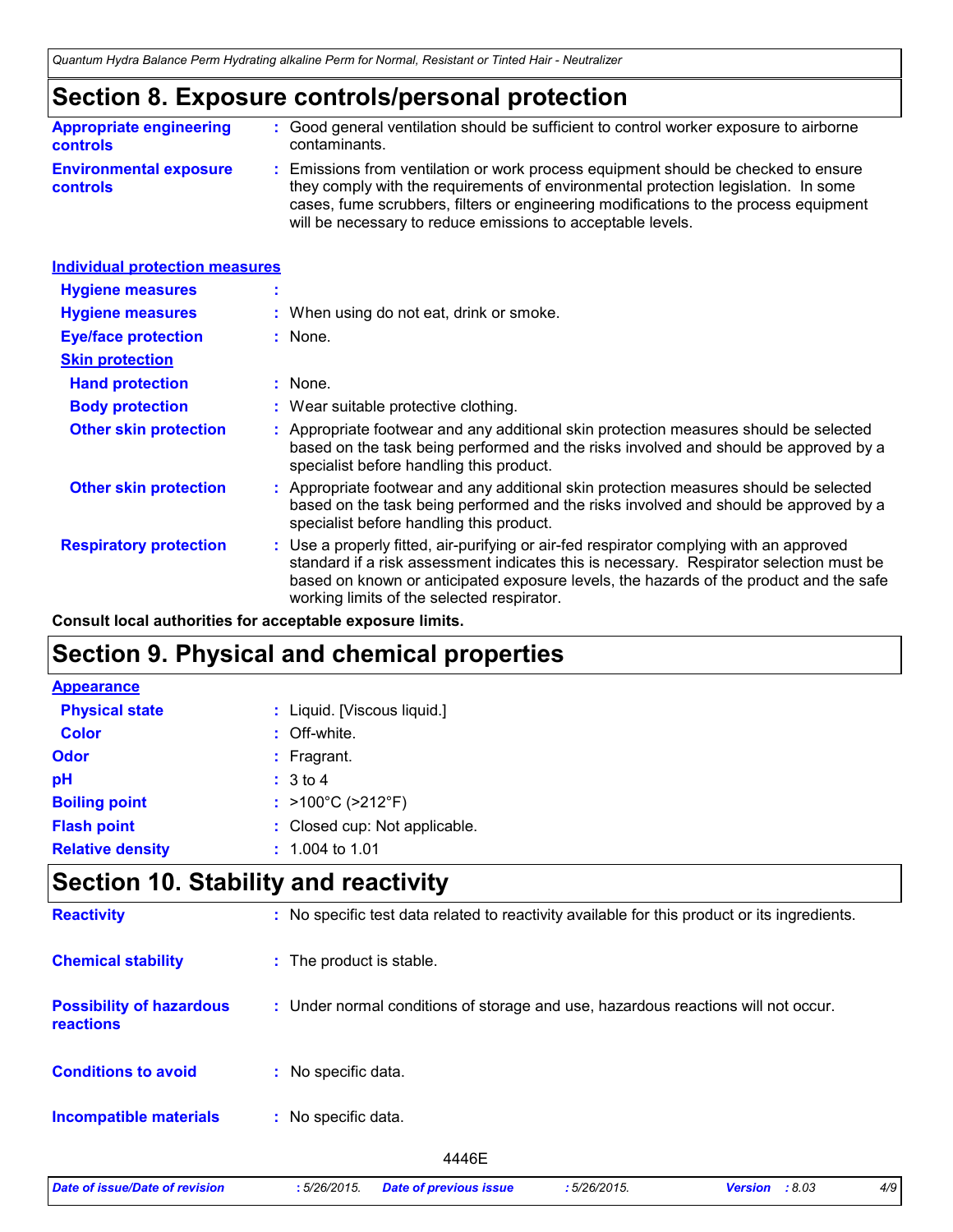### **Section 8. Exposure controls/personal protection**

| <b>Appropriate engineering</b>                   | : Good general ventilation should be sufficient to control worker exposure to airborne                                                                                                                                                                                                                                          |
|--------------------------------------------------|---------------------------------------------------------------------------------------------------------------------------------------------------------------------------------------------------------------------------------------------------------------------------------------------------------------------------------|
| <b>controls</b>                                  | contaminants.                                                                                                                                                                                                                                                                                                                   |
| <b>Environmental exposure</b><br><b>controls</b> | : Emissions from ventilation or work process equipment should be checked to ensure<br>they comply with the requirements of environmental protection legislation. In some<br>cases, fume scrubbers, filters or engineering modifications to the process equipment<br>will be necessary to reduce emissions to acceptable levels. |

| <b>Individual protection measures</b> |                                                                                                                                                                                                                                                                                                                            |
|---------------------------------------|----------------------------------------------------------------------------------------------------------------------------------------------------------------------------------------------------------------------------------------------------------------------------------------------------------------------------|
| <b>Hygiene measures</b>               |                                                                                                                                                                                                                                                                                                                            |
| <b>Hygiene measures</b>               | : When using do not eat, drink or smoke.                                                                                                                                                                                                                                                                                   |
| <b>Eye/face protection</b>            | : None.                                                                                                                                                                                                                                                                                                                    |
| <b>Skin protection</b>                |                                                                                                                                                                                                                                                                                                                            |
| <b>Hand protection</b>                | : None.                                                                                                                                                                                                                                                                                                                    |
| <b>Body protection</b>                | : Wear suitable protective clothing.                                                                                                                                                                                                                                                                                       |
| <b>Other skin protection</b>          | : Appropriate footwear and any additional skin protection measures should be selected<br>based on the task being performed and the risks involved and should be approved by a<br>specialist before handling this product.                                                                                                  |
| <b>Other skin protection</b>          | : Appropriate footwear and any additional skin protection measures should be selected<br>based on the task being performed and the risks involved and should be approved by a<br>specialist before handling this product.                                                                                                  |
| <b>Respiratory protection</b>         | : Use a properly fitted, air-purifying or air-fed respirator complying with an approved<br>standard if a risk assessment indicates this is necessary. Respirator selection must be<br>based on known or anticipated exposure levels, the hazards of the product and the safe<br>working limits of the selected respirator. |

**Consult local authorities for acceptable exposure limits.**

### **Section 9. Physical and chemical properties**

| <b>Appearance</b>       |                                        |
|-------------------------|----------------------------------------|
| <b>Physical state</b>   | : Liquid. [Viscous liquid.]            |
| <b>Color</b>            | : Off-white.                           |
| <b>Odor</b>             | $:$ Fragrant.                          |
| pH                      | : 3 to 4                               |
| <b>Boiling point</b>    | : $>100^{\circ}$ C ( $>212^{\circ}$ F) |
| <b>Flash point</b>      | : Closed cup: Not applicable.          |
| <b>Relative density</b> | $: 1.004$ to 1.01                      |

### **Section 10. Stability and reactivity**

| <b>Reactivity</b>                            | : No specific test data related to reactivity available for this product or its ingredients. |
|----------------------------------------------|----------------------------------------------------------------------------------------------|
| <b>Chemical stability</b>                    | : The product is stable.                                                                     |
| <b>Possibility of hazardous</b><br>reactions | : Under normal conditions of storage and use, hazardous reactions will not occur.            |
| <b>Conditions to avoid</b>                   | : No specific data.                                                                          |
| <b>Incompatible materials</b>                | No specific data.<br>÷.                                                                      |
|                                              | 4446E                                                                                        |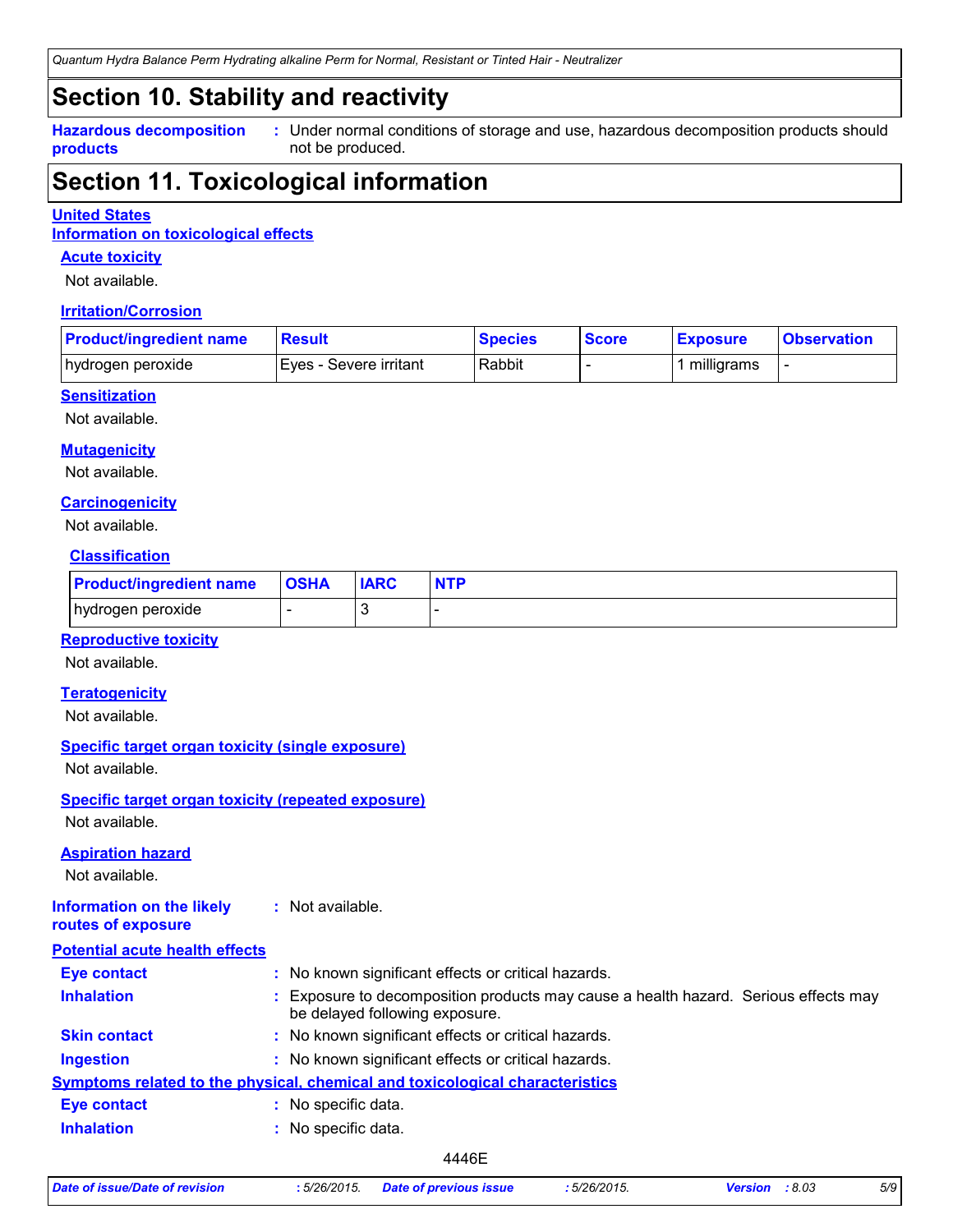*Quantum Hydra Balance Perm Hydrating alkaline Perm for Normal, Resistant or Tinted Hair - Neutralizer*

### **Section 10. Stability and reactivity**

**Hazardous decomposition products**

Under normal conditions of storage and use, hazardous decomposition products should **:** not be produced.

### **Section 11. Toxicological information**

#### **United States**

**Information on toxicological effects**

#### **Acute toxicity**

Not available.

#### **Irritation/Corrosion**

| <b>Product/ingredient name</b> | <b>Result</b>           | <b>Species</b> | <b>Score</b> | <b>Exposure</b> | <b>Observation</b> |
|--------------------------------|-------------------------|----------------|--------------|-----------------|--------------------|
| hydrogen peroxide              | IEves - Severe irritant | Rabbit         |              | milligrams      |                    |

#### **Sensitization**

Not available.

#### **Mutagenicity**

Not available.

#### **Carcinogenicity**

Not available.

#### **Classification**

| <b>Product/ingredient name</b> | <b>OSHA</b> | <b>IARC</b> | <b>NTP</b> |
|--------------------------------|-------------|-------------|------------|
| hydrogen peroxide              |             |             |            |

#### **Reproductive toxicity**

Not available.

#### **Teratogenicity**

Not available.

#### **Specific target organ toxicity (single exposure)**

Not available.

## **Specific target organ toxicity (repeated exposure)**

Not available.

#### **Aspiration hazard**

Not available.

#### **Information on the likely routes of exposure :** Not available.

| <b>Potential acute health effects</b> |                                                                                                                     |
|---------------------------------------|---------------------------------------------------------------------------------------------------------------------|
| <b>Eye contact</b>                    | : No known significant effects or critical hazards.                                                                 |
| <b>Inhalation</b>                     | Exposure to decomposition products may cause a health hazard. Serious effects may<br>be delayed following exposure. |
| <b>Skin contact</b>                   | : No known significant effects or critical hazards.                                                                 |
| <b>Ingestion</b>                      | : No known significant effects or critical hazards.                                                                 |
|                                       | Symptoms related to the physical, chemical and toxicological characteristics                                        |
| <b>Eye contact</b>                    | No specific data.                                                                                                   |
| <b>Inhalation</b>                     | : No specific data.                                                                                                 |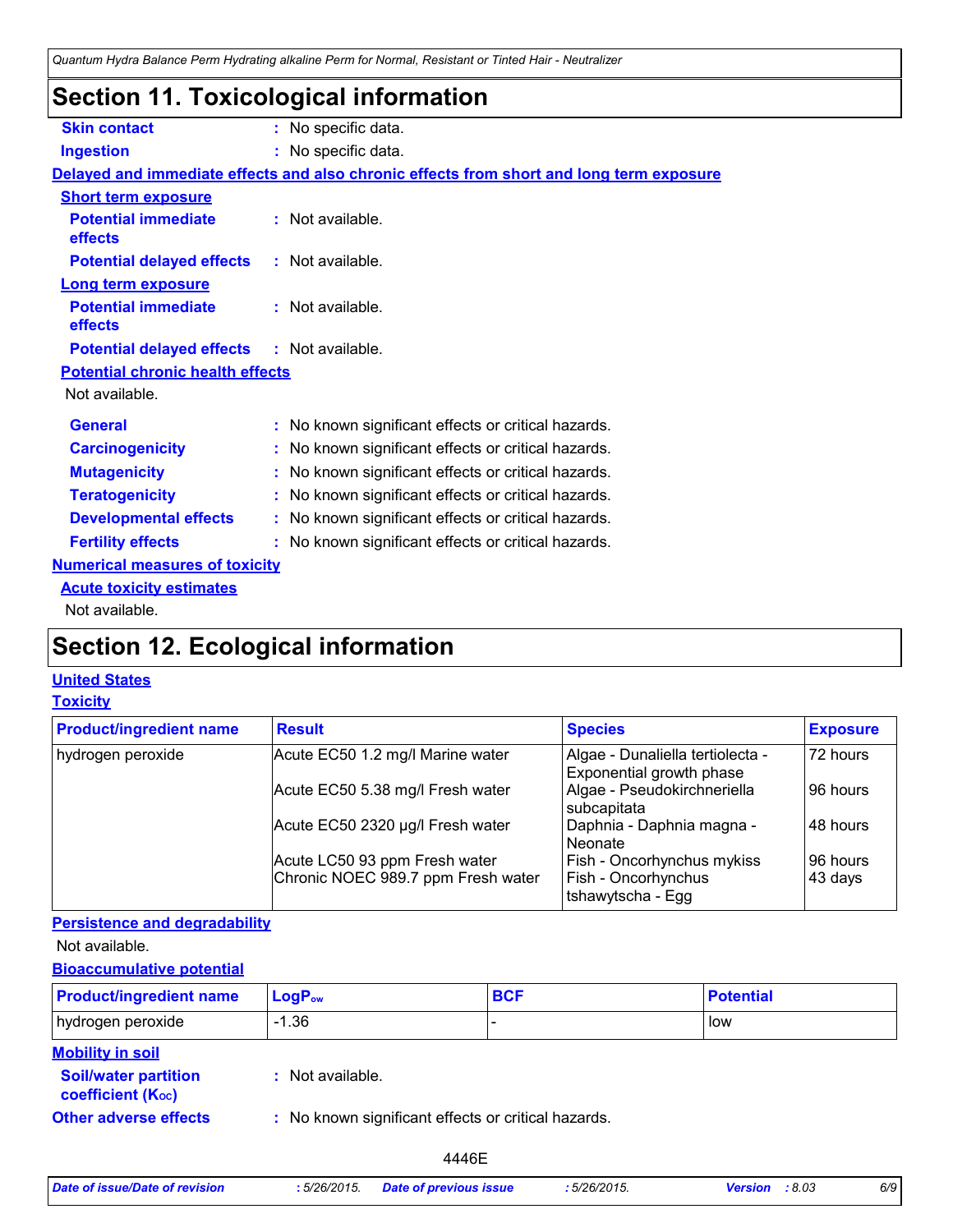### **Section 11. Toxicological information**

| <b>Skin contact</b>                               | : No specific data.                                                                      |
|---------------------------------------------------|------------------------------------------------------------------------------------------|
| <b>Ingestion</b>                                  | : No specific data.                                                                      |
|                                                   | Delayed and immediate effects and also chronic effects from short and long term exposure |
| <b>Short term exposure</b>                        |                                                                                          |
| <b>Potential immediate</b><br>effects             | : Not available.                                                                         |
| <b>Potential delayed effects</b>                  | : Not available.                                                                         |
| Long term exposure                                |                                                                                          |
| <b>Potential immediate</b><br>effects             | : Not available.                                                                         |
| <b>Potential delayed effects : Not available.</b> |                                                                                          |
| <b>Potential chronic health effects</b>           |                                                                                          |
| Not available.                                    |                                                                                          |
| <b>General</b>                                    | : No known significant effects or critical hazards.                                      |
| <b>Carcinogenicity</b>                            | : No known significant effects or critical hazards.                                      |
| <b>Mutagenicity</b>                               | : No known significant effects or critical hazards.                                      |
| <b>Teratogenicity</b>                             | : No known significant effects or critical hazards.                                      |
| <b>Developmental effects</b>                      | : No known significant effects or critical hazards.                                      |
| <b>Fertility effects</b>                          | : No known significant effects or critical hazards.                                      |
| <b>Numerical measures of toxicity</b>             |                                                                                          |
| <b>Acute toxicity estimates</b>                   |                                                                                          |
| Not available.                                    |                                                                                          |

### **Section 12. Ecological information**

### **United States**

#### **Toxicity**

| <b>Product/ingredient name</b> | <b>Result</b>                      | <b>Species</b>                                               | <b>Exposure</b> |
|--------------------------------|------------------------------------|--------------------------------------------------------------|-----------------|
| hydrogen peroxide              | Acute EC50 1.2 mg/l Marine water   | Algae - Dunaliella tertiolecta -<br>Exponential growth phase | 72 hours        |
|                                | Acute EC50 5.38 mg/l Fresh water   | Algae - Pseudokirchneriella<br>subcapitata                   | 96 hours        |
|                                | Acute EC50 2320 µg/l Fresh water   | Daphnia - Daphnia magna -<br>Neonate                         | 48 hours        |
|                                | Acute LC50 93 ppm Fresh water      | Fish - Oncorhynchus mykiss                                   | 96 hours        |
|                                | Chronic NOEC 989.7 ppm Fresh water | Fish - Oncorhynchus<br>tshawytscha - Egg                     | 43 days         |

#### **Persistence and degradability**

Not available.

#### **Bioaccumulative potential**

| <b>Product/ingredient name</b>                          | $LogP_{ow}$                                         | <b>BCF</b> | <b>Potential</b> |
|---------------------------------------------------------|-----------------------------------------------------|------------|------------------|
| hydrogen peroxide                                       | $-1.36$                                             |            | low              |
| <b>Mobility in soil</b>                                 |                                                     |            |                  |
| <b>Soil/water partition</b><br><b>coefficient (Koc)</b> | : Not available.                                    |            |                  |
| <b>Other adverse effects</b>                            | : No known significant effects or critical hazards. |            |                  |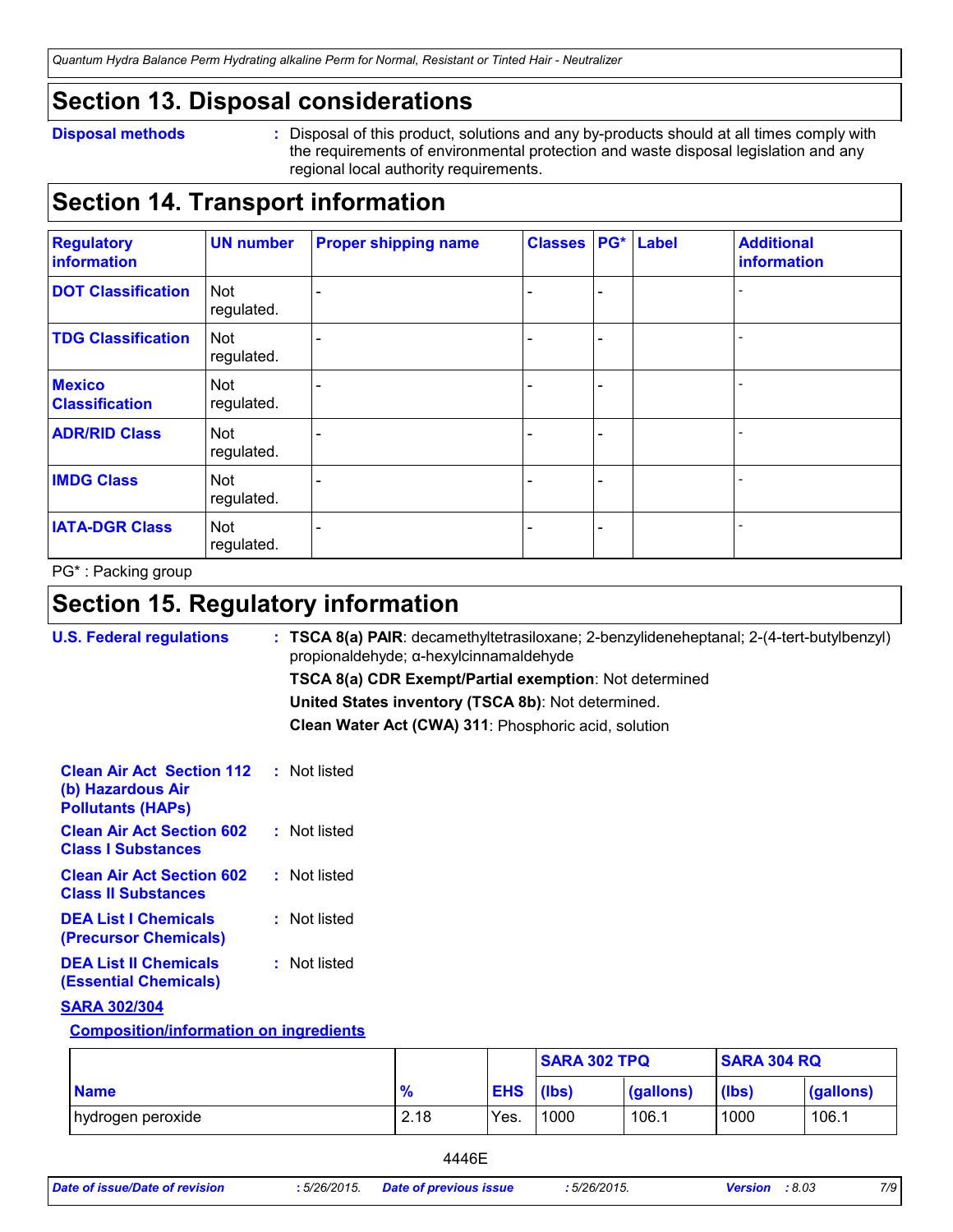### **Section 13. Disposal considerations**

#### **Disposal methods :**

Disposal of this product, solutions and any by-products should at all times comply with the requirements of environmental protection and waste disposal legislation and any regional local authority requirements.

### **Section 14. Transport information**

| <b>Regulatory</b><br>information       | <b>UN number</b>         | <b>Proper shipping name</b> | <b>Classes</b> |   | <b>PG*</b> Label | <b>Additional</b><br>information |
|----------------------------------------|--------------------------|-----------------------------|----------------|---|------------------|----------------------------------|
| <b>DOT Classification</b>              | Not<br>regulated.        |                             |                | ÷ |                  |                                  |
| <b>TDG Classification</b>              | <b>Not</b><br>regulated. |                             |                |   |                  |                                  |
| <b>Mexico</b><br><b>Classification</b> | Not<br>regulated.        |                             |                | ۳ |                  |                                  |
| <b>ADR/RID Class</b>                   | Not<br>regulated.        |                             |                |   |                  |                                  |
| <b>IMDG Class</b>                      | Not<br>regulated.        |                             |                |   |                  |                                  |
| <b>IATA-DGR Class</b>                  | Not<br>regulated.        |                             |                |   |                  |                                  |

PG\* : Packing group

### **Section 15. Regulatory information**

| <b>U.S. Federal regulations</b>                                                   | $:$ TSCA 8(a) PAIR: decamethyltetrasiloxane; 2-benzylideneheptanal; 2-(4-tert-butylbenzyl)<br>propionaldehyde; α-hexylcinnamaldehyde |
|-----------------------------------------------------------------------------------|--------------------------------------------------------------------------------------------------------------------------------------|
|                                                                                   | TSCA 8(a) CDR Exempt/Partial exemption: Not determined                                                                               |
|                                                                                   | United States inventory (TSCA 8b): Not determined.                                                                                   |
|                                                                                   | Clean Water Act (CWA) 311: Phosphoric acid, solution                                                                                 |
| <b>Clean Air Act Section 112</b><br>(b) Hazardous Air<br><b>Pollutants (HAPS)</b> | : Not listed                                                                                                                         |
| <b>Clean Air Act Section 602</b><br><b>Class I Substances</b>                     | : Not listed                                                                                                                         |
| <b>Clean Air Act Section 602</b><br><b>Class II Substances</b>                    | : Not listed                                                                                                                         |
| <b>DEA List I Chemicals</b><br>(Precursor Chemicals)                              | : Not listed                                                                                                                         |
| <b>DEA List II Chemicals</b><br><b>(Essential Chemicals)</b>                      | : Not listed                                                                                                                         |
| <b>SARA 302/304</b>                                                               |                                                                                                                                      |
| <b>Composition/information on ingredients</b>                                     |                                                                                                                                      |

|                   |            |                  | <b>SARA 302 TPQ</b> |           | <b>SARA 304 RQ</b> |           |
|-------------------|------------|------------------|---------------------|-----------|--------------------|-----------|
| <b>Name</b>       | - 07<br>70 | <b>EHS</b> (lbs) |                     | (gallons) | (lbs)              | (gallons) |
| hydrogen peroxide | 2.18       | Yes.             | 1000                | 106.1     | 1000               | 106.1     |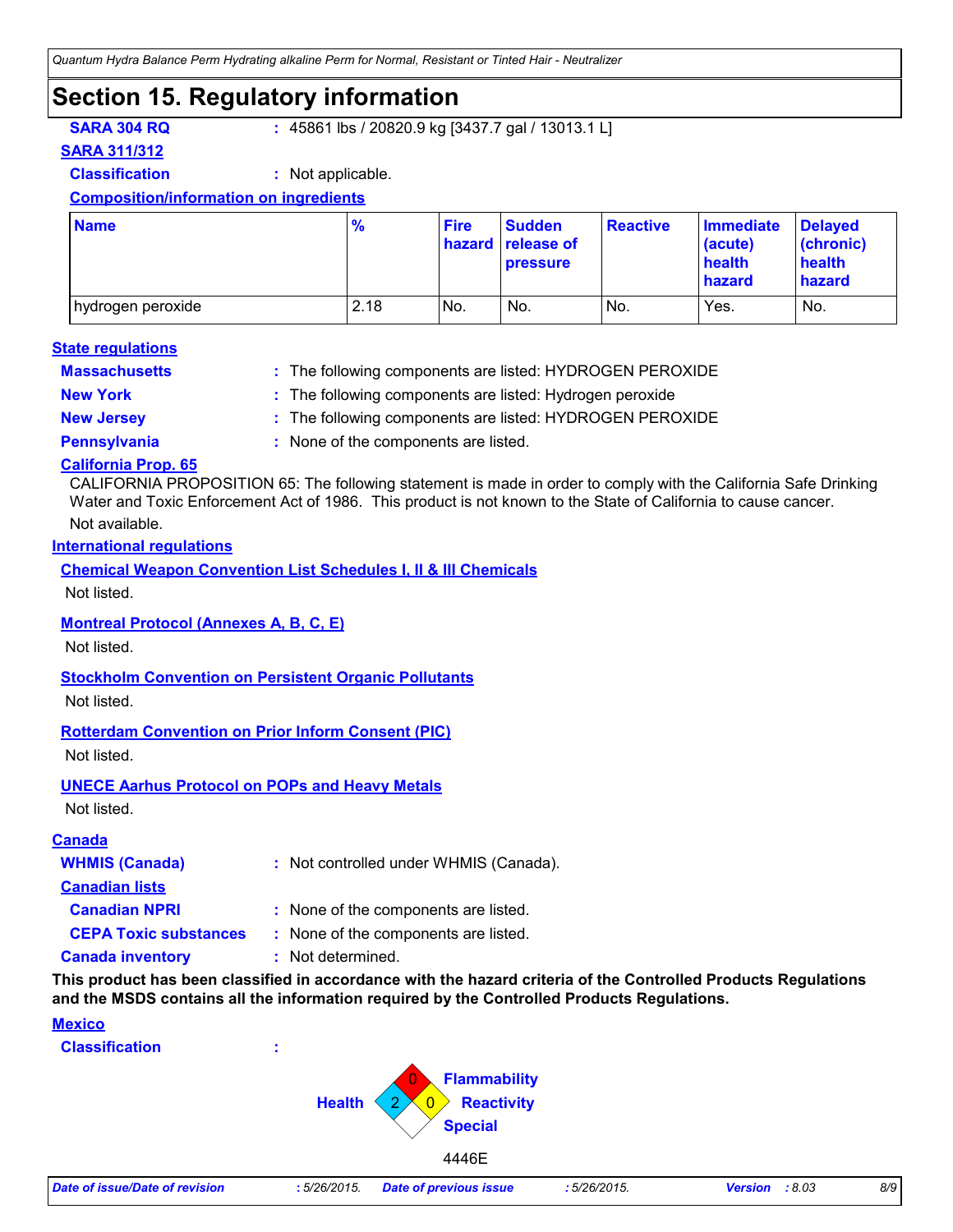### **Section 15. Regulatory information**

**SARA 304 RQ :** 45861 lbs / 20820.9 kg [3437.7 gal / 13013.1 L]

#### **SARA 311/312**

**Classification :** Not applicable.

#### **Composition/information on ingredients**

| <b>Name</b>       | $\frac{9}{6}$ | <b>Fire</b> | <b>Sudden</b><br>hazard release of<br><b>pressure</b> | <b>Reactive</b> | <b>Immediate</b><br>(acute)<br>health<br>hazard | <b>Delayed</b><br>(chronic)<br>health<br>hazard |
|-------------------|---------------|-------------|-------------------------------------------------------|-----------------|-------------------------------------------------|-------------------------------------------------|
| hydrogen peroxide | 2.18          | No.         | No.                                                   | No.             | Yes.                                            | No.                                             |

#### **Massachusetts : State regulations**

The following components are listed: HYDROGEN PEROXIDE

- 
- **New York :** The following components are listed: Hydrogen peroxide
- **New Jersey :** The following components are listed: HYDROGEN PEROXIDE
- 
- **Pennsylvania :** None of the components are listed.

#### **California Prop. 65**

CALIFORNIA PROPOSITION 65: The following statement is made in order to comply with the California Safe Drinking Water and Toxic Enforcement Act of 1986. This product is not known to the State of California to cause cancer.

#### Not available.

#### **International regulations**

**Chemical Weapon Convention List Schedules I, II & III Chemicals**

Not listed.

#### **Montreal Protocol (Annexes A, B, C, E)**

Not listed.

#### **Stockholm Convention on Persistent Organic Pollutants**

Not listed.

#### **Rotterdam Convention on Prior Inform Consent (PIC)**

Not listed.

#### **UNECE Aarhus Protocol on POPs and Heavy Metals**

Not listed.

#### **Canada**

| <b>WHMIS (Canada)</b>        | : Not controlled under WHMIS (Canada). |
|------------------------------|----------------------------------------|
| <b>Canadian lists</b>        |                                        |
| <b>Canadian NPRI</b>         | : None of the components are listed.   |
| <b>CEPA Toxic substances</b> | : None of the components are listed.   |
| <b>Canada inventory</b>      | : Not determined.                      |

**This product has been classified in accordance with the hazard criteria of the Controlled Products Regulations and the MSDS contains all the information required by the Controlled Products Regulations.**

#### **Mexico**

**Classification :**